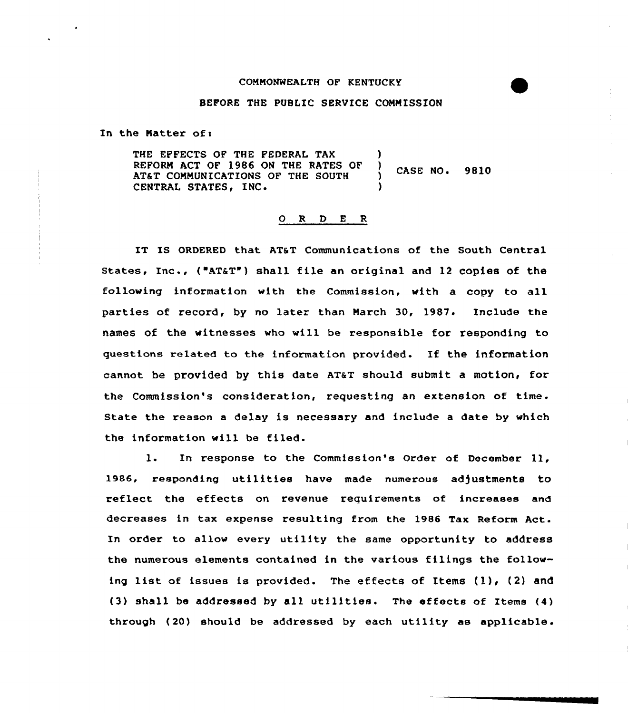## COMMONWEALTH OF KENTUCKY

## BEFORE THE PUBLIC SERVICE COMMISSION

In the Matter of:

THE EFFECTS OF THE FEDERAL TAX REFORN ACT QF 1986 ON THE RATES OF ) CASE NO. 9810 AT&T COMMUNICATIONS OF THE SOUTH CENTRAL STATES, INC.

## 0 <sup>R</sup> <sup>D</sup> E <sup>R</sup>

IT IS ORDERED that AT&T Communications of the South Central States, Inc., ("AT&T") shall file an original and 12 copies of the following information with the Commission, with a copy to all parties of record, by no later than March 30, 1987. Include the names of the witnesses who will be responsible for responding to questions related to the information provided. Xf the information cannot be provided by this date AT&T should submit a motion, for the Commission's consideration, requesting an extension of time. State the reason <sup>a</sup> delay is necessary and include a date by which the information will be filed.

l. In response to the Commission's Order of December 11, 1986, responding utilities have made numerous adjustments to reflect the effects on revenue requirements of increases and decreases in tax expense resulting from the 1986 Tax Reform Act. In order to allow every utility the same opportunity to address the numerous elements contained in the various filings the following list of issues is provided. The effects of Items (1), (2) and (3) shall be addressed by all utilities. The effects of Items  $(4)$ through (20) should be addressed by each utility as applicable.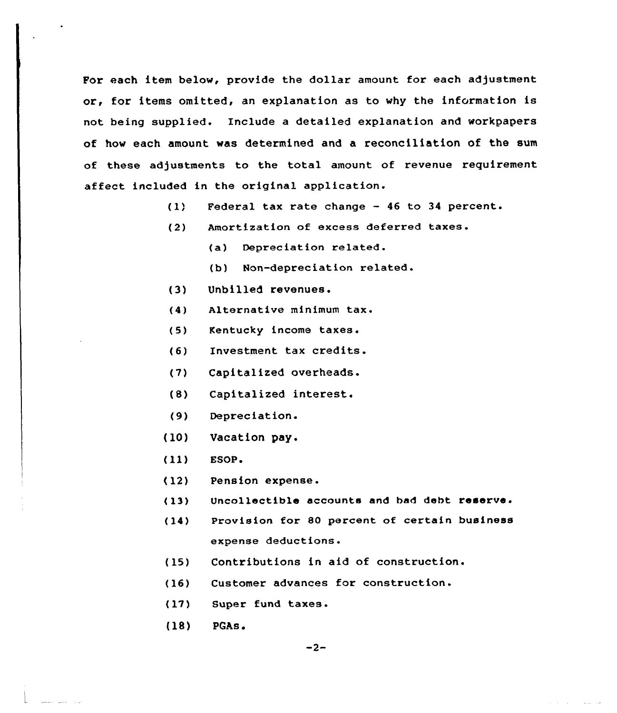For each item below, provide the dollar amount for each adjustment or, for items omitted, an explanation as to why the information is not being supplied. Include a detailed explanation and workpapers of how each amount was determined and a reconciliation of the sum of these adjustments to the total amount of revenue requirement affect included in the original application.

- $(1)$ Federal tax rate change — 46 to 34 percent.
- Amortization of excess deferred taxes.  $(2)$ 
	- (a) Depreciation related.
	- (b) Non-depreciation related.
- (3) Unbilled revenues.
- (4) Alternative minimum tax.
- Kentucky income taxes.  $(5)$
- (6) Investment tax credits.
- (7) Capitalized overheads.
- (8) Capitalized interest.
- Depreciation.  $(9)$
- (10) Vacation pay.
- (ll) ESOP.
- $(12)$ Pension expense.
- (13) Uncollectible accounts and had debt reserve.
- (14) Provision for 80 percent of certain business expense deductions.
- (15) Contributions in aid of construction.
- (16) Customer advances for construction.
- $(17)$ Super fund taxes.
- (18) PGAs.

and the state